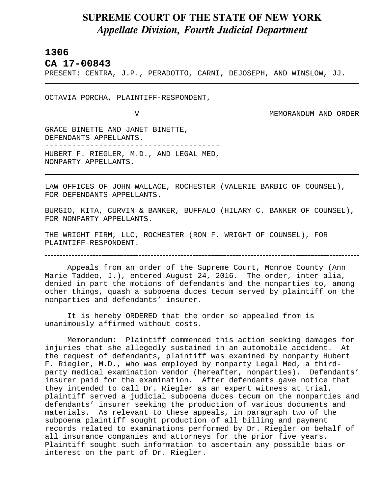## **SUPREME COURT OF THE STATE OF NEW YORK** *Appellate Division, Fourth Judicial Department*

## **1306**

L

**CA 17-00843** 

PRESENT: CENTRA, J.P., PERADOTTO, CARNI, DEJOSEPH, AND WINSLOW, JJ.

OCTAVIA PORCHA, PLAINTIFF-RESPONDENT,

V MEMORANDUM AND ORDER

GRACE BINETTE AND JANET BINETTE, DEFENDANTS-APPELLANTS. --------------------------------------- HUBERT F. RIEGLER, M.D., AND LEGAL MED, NONPARTY APPELLANTS.

LAW OFFICES OF JOHN WALLACE, ROCHESTER (VALERIE BARBIC OF COUNSEL), FOR DEFENDANTS-APPELLANTS.

BURGIO, KITA, CURVIN & BANKER, BUFFALO (HILARY C. BANKER OF COUNSEL), FOR NONPARTY APPELLANTS.

THE WRIGHT FIRM, LLC, ROCHESTER (RON F. WRIGHT OF COUNSEL), FOR PLAINTIFF-RESPONDENT.

Appeals from an order of the Supreme Court, Monroe County (Ann Marie Taddeo, J.), entered August 24, 2016. The order, inter alia, denied in part the motions of defendants and the nonparties to, among other things, quash a subpoena duces tecum served by plaintiff on the nonparties and defendants' insurer.

It is hereby ORDERED that the order so appealed from is unanimously affirmed without costs.

Memorandum: Plaintiff commenced this action seeking damages for injuries that she allegedly sustained in an automobile accident. At the request of defendants, plaintiff was examined by nonparty Hubert F. Riegler, M.D., who was employed by nonparty Legal Med, a thirdparty medical examination vendor (hereafter, nonparties). Defendants' insurer paid for the examination. After defendants gave notice that they intended to call Dr. Riegler as an expert witness at trial, plaintiff served a judicial subpoena duces tecum on the nonparties and defendants' insurer seeking the production of various documents and materials. As relevant to these appeals, in paragraph two of the subpoena plaintiff sought production of all billing and payment records related to examinations performed by Dr. Riegler on behalf of all insurance companies and attorneys for the prior five years. Plaintiff sought such information to ascertain any possible bias or interest on the part of Dr. Riegler.